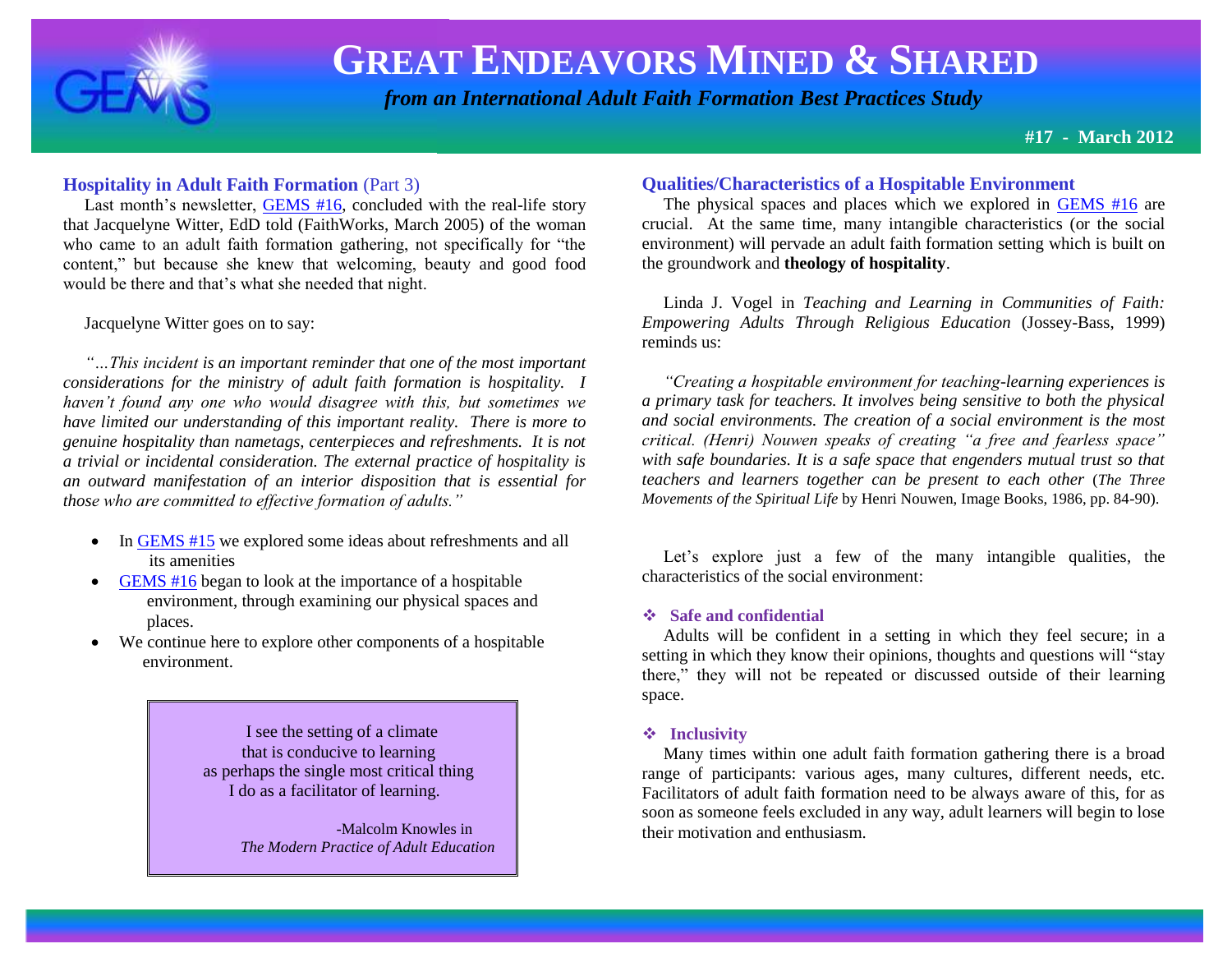

 *from an International Adult Faith Formation Best Practices Study*

**#17 - March 2012**

## **Hospitality in Adult Faith Formation** (Part 3)

Last month's newsletter, [GEMS #16,](http://www.janetschaeffler.com/GEMS__16.pdf) concluded with the real-life story that Jacquelyne Witter, EdD told (FaithWorks, March 2005) of the woman who came to an adult faith formation gathering, not specifically for "the content," but because she knew that welcoming, beauty and good food would be there and that's what she needed that night.

#### Jacquelyne Witter goes on to say:

 *"…This incident is an important reminder that one of the most important considerations for the ministry of adult faith formation is hospitality. I haven't found any one who would disagree with this, but sometimes we have limited our understanding of this important reality. There is more to genuine hospitality than nametags, centerpieces and refreshments. It is not a trivial or incidental consideration. The external practice of hospitality is an outward manifestation of an interior disposition that is essential for those who are committed to effective formation of adults."*

- In [GEMS #15](http://www.janetschaeffler.com/GEMS__15.pdf) we explored some ideas about refreshments and all its amenities
- [GEMS #16](http://www.janetschaeffler.com/GEMS__16.pdf) began to look at the importance of a hospitable environment, through examining our physical spaces and places.
- We continue here to explore other components of a hospitable environment.

 I see the setting of a climate that is conducive to learning as perhaps the single most critical thing I do as a facilitator of learning.

> -Malcolm Knowles in  *The Modern Practice of Adult Education*

# **Qualities/Characteristics of a Hospitable Environment**

 The physical spaces and places which we explored in [GEMS #16](http://www.janetschaeffler.com/GEMS__16.pdf) are crucial. At the same time, many intangible characteristics (or the social environment) will pervade an adult faith formation setting which is built on the groundwork and **theology of hospitality**.

 Linda J. Vogel in *Teaching and Learning in Communities of Faith: Empowering Adults Through Religious Education* (Jossey-Bass, 1999) reminds us:

 *"Creating a hospitable environment for teaching-learning experiences is a primary task for teachers. It involves being sensitive to both the physical and social environments. The creation of a social environment is the most critical. (Henri) Nouwen speaks of creating "a free and fearless space" with safe boundaries. It is a safe space that engenders mutual trust so that teachers and learners together can be present to each other* (*The Three Movements of the Spiritual Life* by Henri Nouwen, Image Books, 1986, pp. 84-90).

 Let's explore just a few of the many intangible qualities, the characteristics of the social environment:

#### **Safe and confidential**

 Adults will be confident in a setting in which they feel secure; in a setting in which they know their opinions, thoughts and questions will "stay there," they will not be repeated or discussed outside of their learning space.

#### **Inclusivity**

 Many times within one adult faith formation gathering there is a broad range of participants: various ages, many cultures, different needs, etc. Facilitators of adult faith formation need to be always aware of this, for as soon as someone feels excluded in any way, adult learners will begin to lose their motivation and enthusiasm.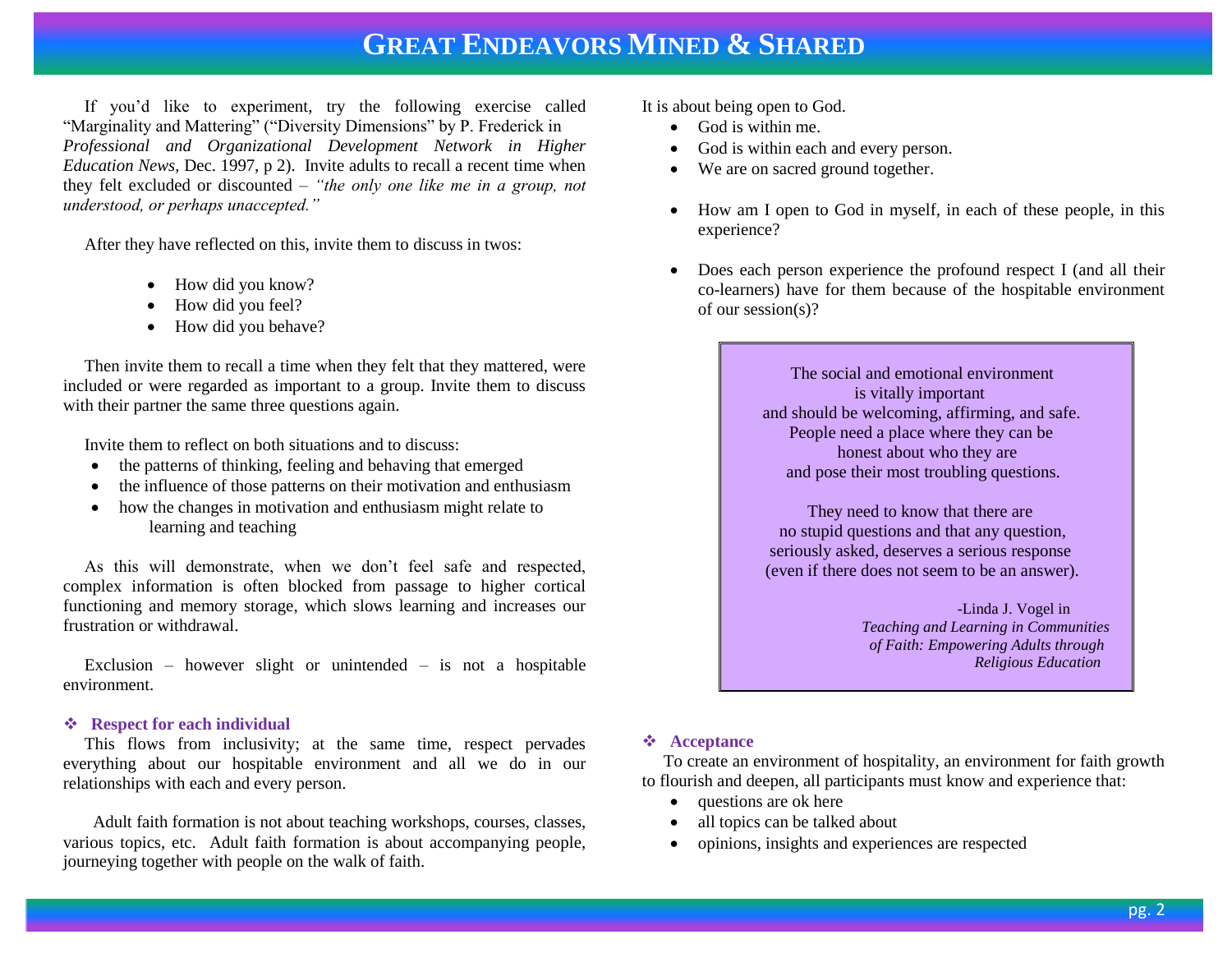If you'd like to experiment, try the following exercise called "Marginality and Mattering" ("Diversity Dimensions" by P. Frederick in *Professional and Organizational Development Network in Higher Education News*, Dec. 1997, p 2). Invite adults to recall a recent time when they felt excluded or discounted – *"the only one like me in a group, not understood, or perhaps unaccepted."* 

After they have reflected on this, invite them to discuss in twos:

- How did you know?
- How did you feel?
- How did you behave?

 Then invite them to recall a time when they felt that they mattered, were included or were regarded as important to a group. Invite them to discuss with their partner the same three questions again.

Invite them to reflect on both situations and to discuss:

- the patterns of thinking, feeling and behaving that emerged
- the influence of those patterns on their motivation and enthusiasm
- how the changes in motivation and enthusiasm might relate to learning and teaching

 As this will demonstrate, when we don't feel safe and respected, complex information is often blocked from passage to higher cortical functioning and memory storage, which slows learning and increases our frustration or withdrawal.

 Exclusion – however slight or unintended – is not a hospitable environment.

### **Respect for each individual**

 This flows from inclusivity; at the same time, respect pervades everything about our hospitable environment and all we do in our relationships with each and every person.

 Adult faith formation is not about teaching workshops, courses, classes, various topics, etc. Adult faith formation is about accompanying people, journeying together with people on the walk of faith.

It is about being open to God.

- God is within me.
- God is within each and every person.
- We are on sacred ground together.
- How am I open to God in myself, in each of these people, in this experience?
- Does each person experience the profound respect I (and all their co-learners) have for them because of the hospitable environment of our session(s)?

 The social and emotional environment is vitally important and should be welcoming, affirming, and safe. People need a place where they can be honest about who they are and pose their most troubling questions.

They need to know that there are no stupid questions and that any question, seriously asked, deserves a serious response (even if there does not seem to be an answer).

> -Linda J. Vogel in  *Teaching and Learning in Communities of Faith: Empowering Adults through Religious Education*

### **Acceptance**

 To create an environment of hospitality, an environment for faith growth to flourish and deepen, all participants must know and experience that:

- questions are ok here
- all topics can be talked about
- opinions, insights and experiences are respected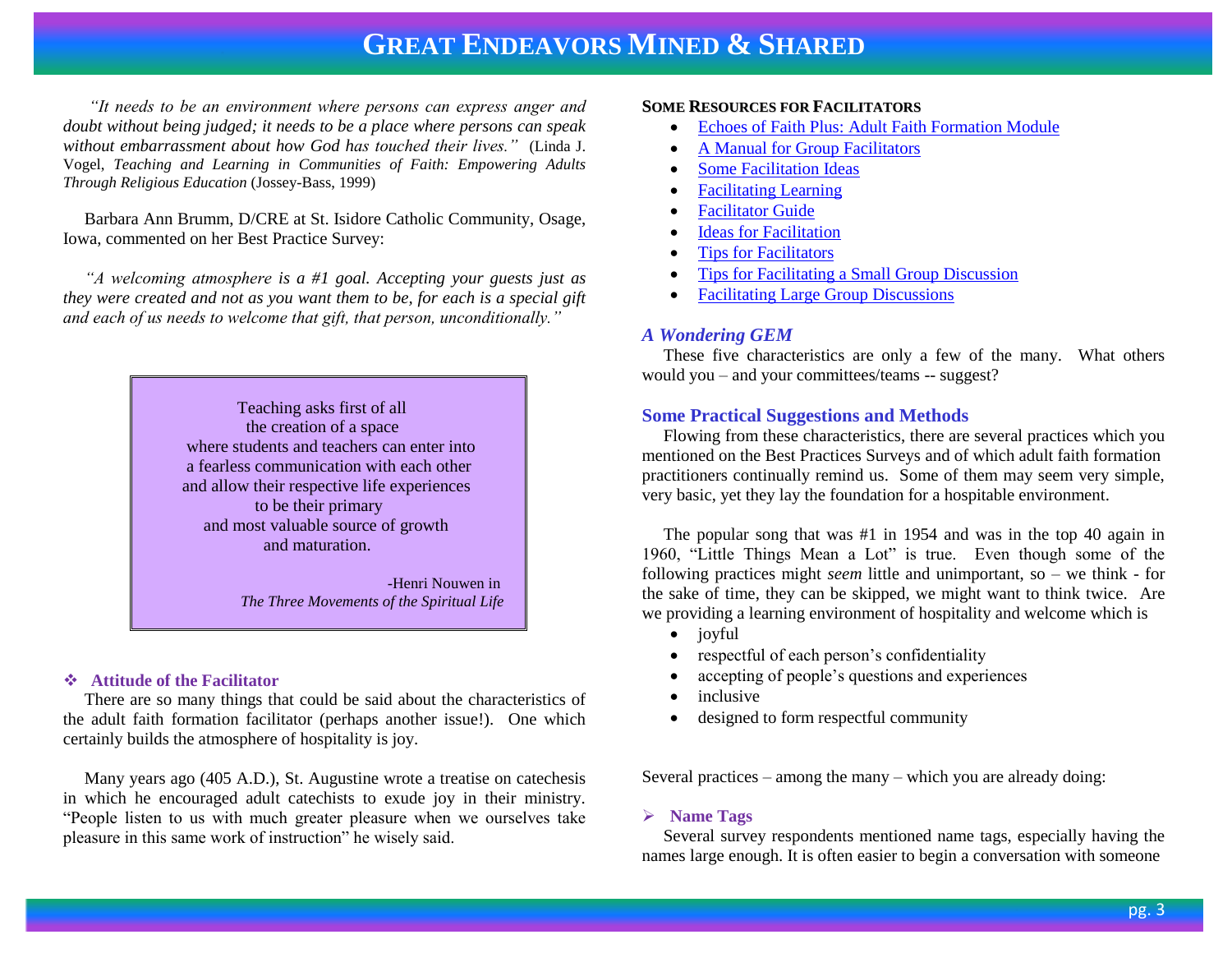*"It needs to be an environment where persons can express anger and doubt without being judged; it needs to be a place where persons can speak without embarrassment about how God has touched their lives."* (Linda J. Vogel, *Teaching and Learning in Communities of Faith: Empowering Adults Through Religious Education* (Jossey-Bass, 1999)

 Barbara Ann Brumm, D/CRE at St. Isidore Catholic Community, Osage, Iowa, commented on her Best Practice Survey:

 *"A welcoming atmosphere is a #1 goal. Accepting your guests just as they were created and not as you want them to be, for each is a special gift and each of us needs to welcome that gift, that person, unconditionally."*

> Teaching asks first of all the creation of a space where students and teachers can enter into a fearless communication with each other and allow their respective life experiences to be their primary and most valuable source of growth and maturation.

> > -Henri Nouwen in  *The Three Movements of the Spiritual Life*

#### **Attitude of the Facilitator**

 There are so many things that could be said about the characteristics of the adult faith formation facilitator (perhaps another issue!). One which certainly builds the atmosphere of hospitality is joy.

 Many years ago (405 A.D.), St. Augustine wrote a treatise on catechesis in which he encouraged adult catechists to exude joy in their ministry. "People listen to us with much greater pleasure when we ourselves take pleasure in this same work of instruction" he wisely said.

#### **SOME RESOURCES FOR FACILITATORS**

- [Echoes of Faith Plus: Adult Faith Formation Module](http://faithfirst.com/html/eof/modules.html)
- [A Manual for Group Facilitators](http://store.ic.org/catalog/product_info.php?cPath=34_43&products_id=61)
- [Some Facilitation Ideas](http://www.uvm.edu/~dewey/reflection_manual/additional.html)
- [Facilitating Learning](http://encorps.nationalserviceresources.org/pal_facilitating.php)
- [Facilitator Guide](http://www.workshopexercises.com/Facilitator.htm)
- [Ideas for Facilitation](http://ideafacilitators.wordpress.com/tips-for-effective-facilitation/)
- [Tips for Facilitators](http://www.thiagi.com/tips.html)
- [Tips for Facilitating a Small Group Discussion](http://www.smallgroups.com/articles/2008/tipsforfacilitatingagroupdiscussion.html?start=3)
- [Facilitating Large Group Discussions](http://news.nasje.org/?p=151)

### *A Wondering GEM*

 These five characteristics are only a few of the many. What others would you – and your committees/teams -- suggest?

### **Some Practical Suggestions and Methods**

 Flowing from these characteristics, there are several practices which you mentioned on the Best Practices Surveys and of which adult faith formation practitioners continually remind us. Some of them may seem very simple, very basic, yet they lay the foundation for a hospitable environment.

 The popular song that was #1 in 1954 and was in the top 40 again in 1960, "Little Things Mean a Lot" is true. Even though some of the following practices might *seem* little and unimportant, so – we think - for the sake of time, they can be skipped, we might want to think twice. Are we providing a learning environment of hospitality and welcome which is

- $\bullet$  joyful
- respectful of each person's confidentiality
- accepting of people's questions and experiences
- inclusive
- designed to form respectful community

Several practices – among the many – which you are already doing:

### **Name Tags**

 Several survey respondents mentioned name tags, especially having the names large enough. It is often easier to begin a conversation with someone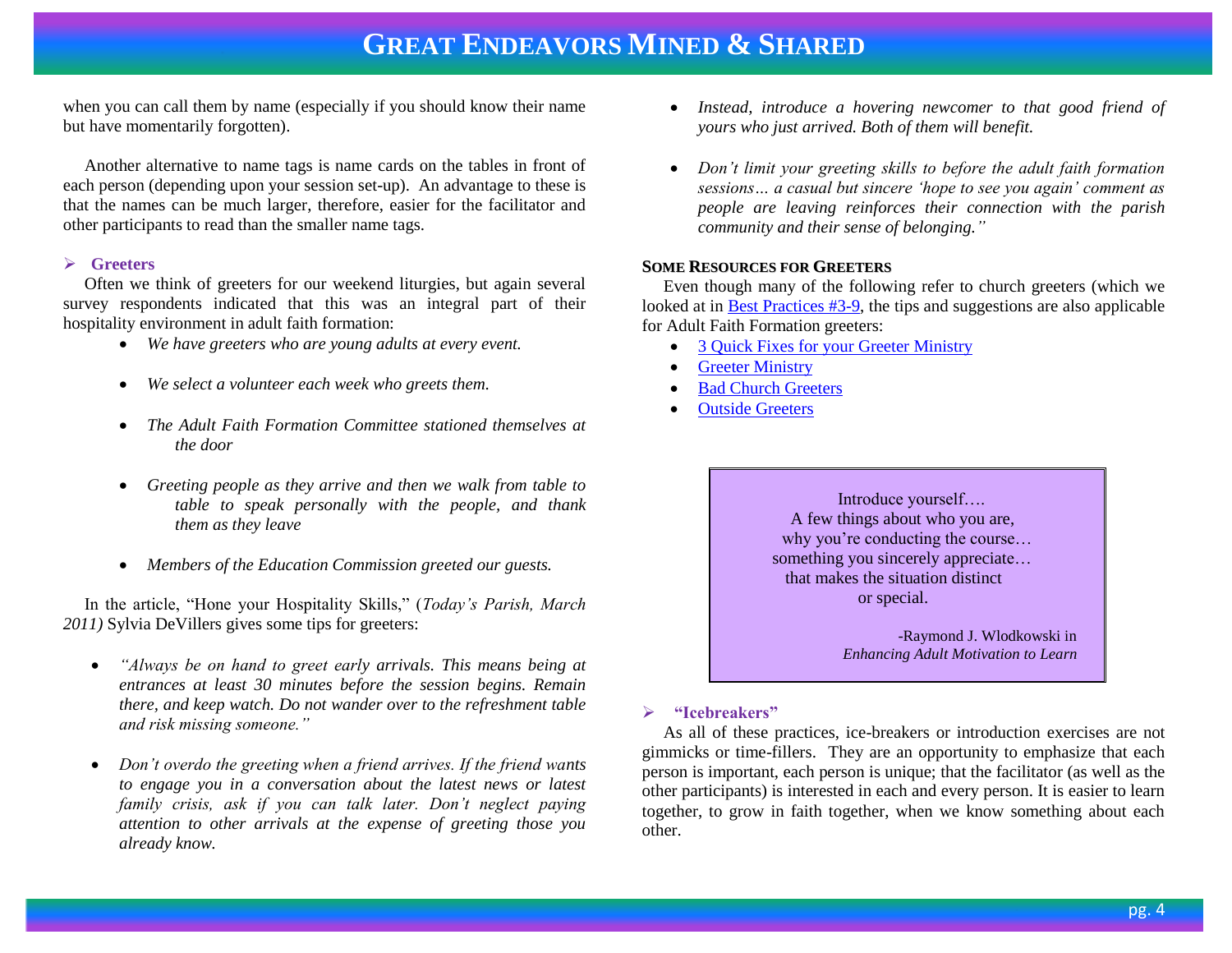when you can call them by name (especially if you should know their name but have momentarily forgotten).

 Another alternative to name tags is name cards on the tables in front of each person (depending upon your session set-up). An advantage to these is that the names can be much larger, therefore, easier for the facilitator and other participants to read than the smaller name tags.

#### **Greeters**

 Often we think of greeters for our weekend liturgies, but again several survey respondents indicated that this was an integral part of their hospitality environment in adult faith formation:

- *We have greeters who are young adults at every event.*
- *We select a volunteer each week who greets them.*
- *The Adult Faith Formation Committee stationed themselves at the door*
- *Greeting people as they arrive and then we walk from table to table to speak personally with the people, and thank them as they leave*
- *Members of the Education Commission greeted our guests.*

 In the article, "Hone your Hospitality Skills," (*Today's Parish, March 2011)* Sylvia DeVillers gives some tips for greeters:

- *"Always be on hand to greet early arrivals. This means being at entrances at least 30 minutes before the session begins. Remain there, and keep watch. Do not wander over to the refreshment table and risk missing someone."*
- *Don't overdo the greeting when a friend arrives. If the friend wants to engage you in a conversation about the latest news or latest family crisis, ask if you can talk later. Don't neglect paying attention to other arrivals at the expense of greeting those you already know.*
- *Instead, introduce a hovering newcomer to that good friend of yours who just arrived. Both of them will benefit.*
- *Don't limit your greeting skills to before the adult faith formation sessions… a casual but sincere 'hope to see you again' comment as people are leaving reinforces their connection with the parish community and their sense of belonging."*

#### **SOME RESOURCES FOR GREETERS**

 Even though many of the following refer to church greeters (which we looked at in **Best Practices #3-9**, the tips and suggestions are also applicable for Adult Faith Formation greeters:

- [3 Quick Fixes for your Greeter Ministry](http://www.churchgreetertraining.com/blog/)
- [Greeter Ministry](http://www.plusline.org/article.php?id=255)
- [Bad Church Greeters](http://www.youtube.com/watch?v=8xJleNCiiTE)
- [Outside Greeters](http://www.thehardygroup.org/ArticlesDetail.asp?id=214)

 Introduce yourself…. A few things about who you are, why you're conducting the course… something you sincerely appreciate… that makes the situation distinct or special.

> -Raymond J. Wlodkowski in  *Enhancing Adult Motivation to Learn*

#### **"Icebreakers"**

 As all of these practices, ice-breakers or introduction exercises are not gimmicks or time-fillers. They are an opportunity to emphasize that each person is important, each person is unique; that the facilitator (as well as the other participants) is interested in each and every person. It is easier to learn together, to grow in faith together, when we know something about each other.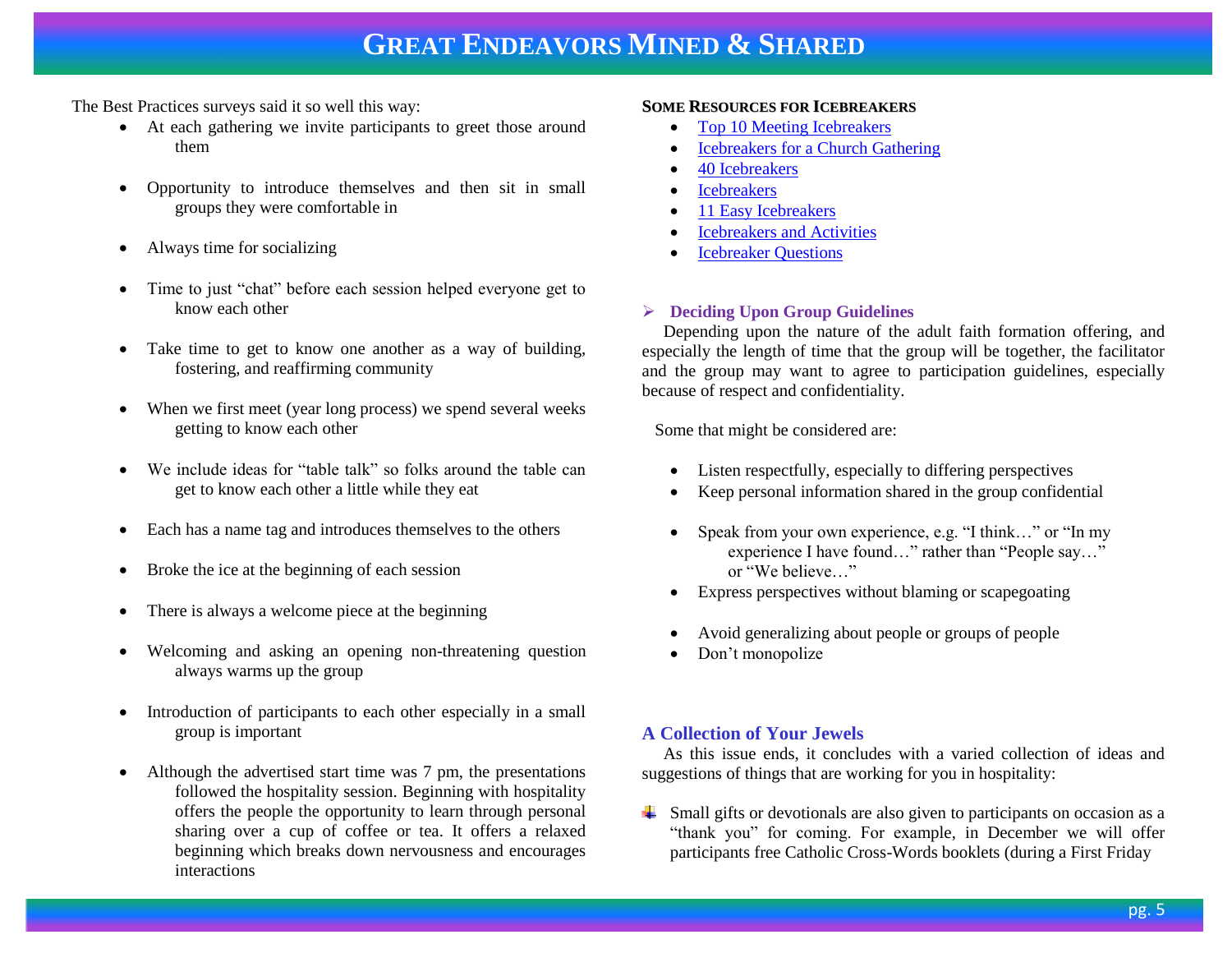The Best Practices surveys said it so well this way:

- At each gathering we invite participants to greet those around them
- Opportunity to introduce themselves and then sit in small groups they were comfortable in
- Always time for socializing
- Time to just "chat" before each session helped everyone get to know each other
- Take time to get to know one another as a way of building, fostering, and reaffirming community
- When we first meet (year long process) we spend several weeks getting to know each other
- We include ideas for "table talk" so folks around the table can get to know each other a little while they eat
- Each has a name tag and introduces themselves to the others
- Broke the ice at the beginning of each session
- There is always a welcome piece at the beginning
- Welcoming and asking an opening non-threatening question always warms up the group
- Introduction of participants to each other especially in a small group is important
- Although the advertised start time was 7 pm, the presentations followed the hospitality session. Beginning with hospitality offers the people the opportunity to learn through personal sharing over a cup of coffee or tea. It offers a relaxed beginning which breaks down nervousness and encourages interactions

### **SOME RESOURCES FOR ICEBREAKERS**

- [Top 10 Meeting Icebreakers](http://ezinearticles.com/?Top-10-Meeting-Ice-Breakers&id=776311)
- [Icebreakers for a Church Gathering](http://www.buzzle.com/articles/icebreaker-games-for-a-church-gathering.html)
- [40 Icebreakers](http://www.training-games.com/pdf/40FreeIceBreakers.pdf)
- [Icebreakers](http://adulted.about.com/od/icebreakers/Ice_Breakers.htm)
- [11 Easy Icebreakers](http://www.time-management-success.com/ice-breakers-for-meetings.html)
- [Icebreakers and Activities](http://www.volunteerpower.com/resources/Icebreaker.asp)
- [Icebreaker Questions](http://annie-suh.suite101.com/icebreaker-questions-for-business-meetings-a154675)

# **Deciding Upon Group Guidelines**

 Depending upon the nature of the adult faith formation offering, and especially the length of time that the group will be together, the facilitator and the group may want to agree to participation guidelines, especially because of respect and confidentiality.

Some that might be considered are:

- Listen respectfully, especially to differing perspectives
- Keep personal information shared in the group confidential
- Speak from your own experience, e.g. "I think…" or "In my experience I have found…" rather than "People say…" or "We believe…"
- Express perspectives without blaming or scapegoating
- Avoid generalizing about people or groups of people
- Don't monopolize

# **A Collection of Your Jewels**

 As this issue ends, it concludes with a varied collection of ideas and suggestions of things that are working for you in hospitality:

 $\frac{1}{\sqrt{1-\frac{1}{\sqrt{1-\frac{1}{\sqrt{1-\frac{1}{\sqrt{1-\frac{1}{\sqrt{1-\frac{1}{\sqrt{1-\frac{1}{\sqrt{1-\frac{1}{\sqrt{1-\frac{1}{\sqrt{1-\frac{1}{\sqrt{1-\frac{1}{\sqrt{1-\frac{1}{\sqrt{1-\frac{1}{\sqrt{1-\frac{1}{\sqrt{1-\frac{1}{\sqrt{1-\frac{1}{\sqrt{1-\frac{1}{\sqrt{1-\frac{1}{\sqrt{1-\frac{1}{\sqrt{1-\frac{1}{\sqrt{1-\frac{1}{\sqrt{1-\frac{1}{\sqrt{1-\frac{1}{\sqrt{1-\frac{1}{\sqrt{1-\frac{1$ "thank you" for coming. For example, in December we will offer participants free Catholic Cross-Words booklets (during a First Friday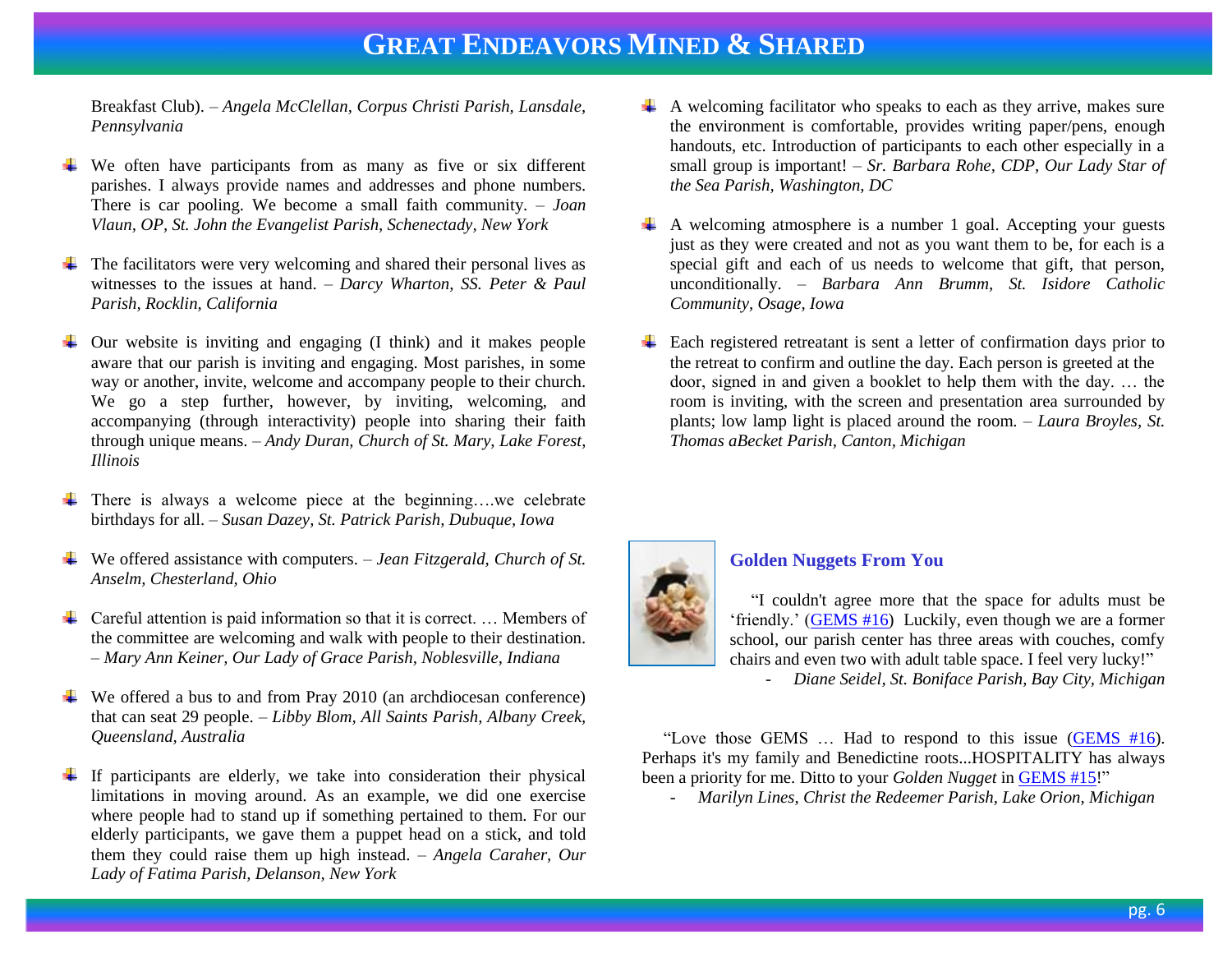Breakfast Club). *– Angela McClellan, Corpus Christi Parish, Lansdale, Pennsylvania* 

- We often have participants from as many as five or six different parishes. I always provide names and addresses and phone numbers. There is car pooling. We become a small faith community. *– Joan Vlaun, OP, St. John the Evangelist Parish, Schenectady, New York*
- The facilitators were very welcoming and shared their personal lives as witnesses to the issues at hand. *– Darcy Wharton, SS. Peter & Paul Parish, Rocklin, California*
- Our website is inviting and engaging (I think) and it makes people aware that our parish is inviting and engaging. Most parishes, in some way or another, invite, welcome and accompany people to their church. We go a step further, however, by inviting, welcoming, and accompanying (through interactivity) people into sharing their faith through unique means. – *Andy Duran, Church of St. Mary, Lake Forest, Illinois*
- $\overline{\text{#}}$  There is always a welcome piece at the beginning...we celebrate birthdays for all. – *Susan Dazey, St. Patrick Parish, Dubuque, Iowa*
- We offered assistance with computers. *Jean Fitzgerald, Church of St. Anselm, Chesterland, Ohio*
- Careful attention is paid information so that it is correct. … Members of the committee are welcoming and walk with people to their destination. *– Mary Ann Keiner, Our Lady of Grace Parish, Noblesville, Indiana*
- We offered a bus to and from Pray 2010 (an archdiocesan conference) that can seat 29 people. *– Libby Blom, All Saints Parish, Albany Creek, Queensland, Australia*
- $\ddot{\text{I}}$  If participants are elderly, we take into consideration their physical limitations in moving around. As an example, we did one exercise where people had to stand up if something pertained to them. For our elderly participants, we gave them a puppet head on a stick, and told them they could raise them up high instead. *– Angela Caraher, Our Lady of Fatima Parish, Delanson, New York*
- $\uparrow$  A welcoming facilitator who speaks to each as they arrive, makes sure the environment is comfortable, provides writing paper/pens, enough handouts, etc. Introduction of participants to each other especially in a small group is important! *– Sr. Barbara Rohe, CDP, Our Lady Star of the Sea Parish, Washington, DC*
- $\overline{\text{+}}$  A welcoming atmosphere is a number 1 goal. Accepting your guests just as they were created and not as you want them to be, for each is a special gift and each of us needs to welcome that gift, that person, unconditionally. *– Barbara Ann Brumm, St. Isidore Catholic Community, Osage, Iowa*
- $\overline{\phantom{a}}$  Each registered retreatant is sent a letter of confirmation days prior to the retreat to confirm and outline the day. Each person is greeted at the door, signed in and given a booklet to help them with the day. … the room is inviting, with the screen and presentation area surrounded by plants; low lamp light is placed around the room. *– Laura Broyles, St. Thomas aBecket Parish, Canton, Michigan*



# **Golden Nuggets From You**

 "I couldn't agree more that the space for adults must be 'friendly.' [\(GEMS #16\)](http://www.janetschaeffler.com/GEMS__16.pdf) Luckily, even though we are a former school, our parish center has three areas with couches, comfy chairs and even two with adult table space. I feel very lucky!"

- *Diane Seidel, St. Boniface Parish, Bay City, Michigan*

 "Love those GEMS … Had to respond to this issue [\(GEMS #16\)](http://www.janetschaeffler.com/GEMS__16.pdf). Perhaps it's my family and Benedictine roots...HOSPITALITY has always been a priority for me. Ditto to your *Golden Nugget* in [GEMS #15!](http://www.janetschaeffler.com/GEMS__15.pdf)"

- *Marilyn Lines, Christ the Redeemer Parish, Lake Orion, Michigan*